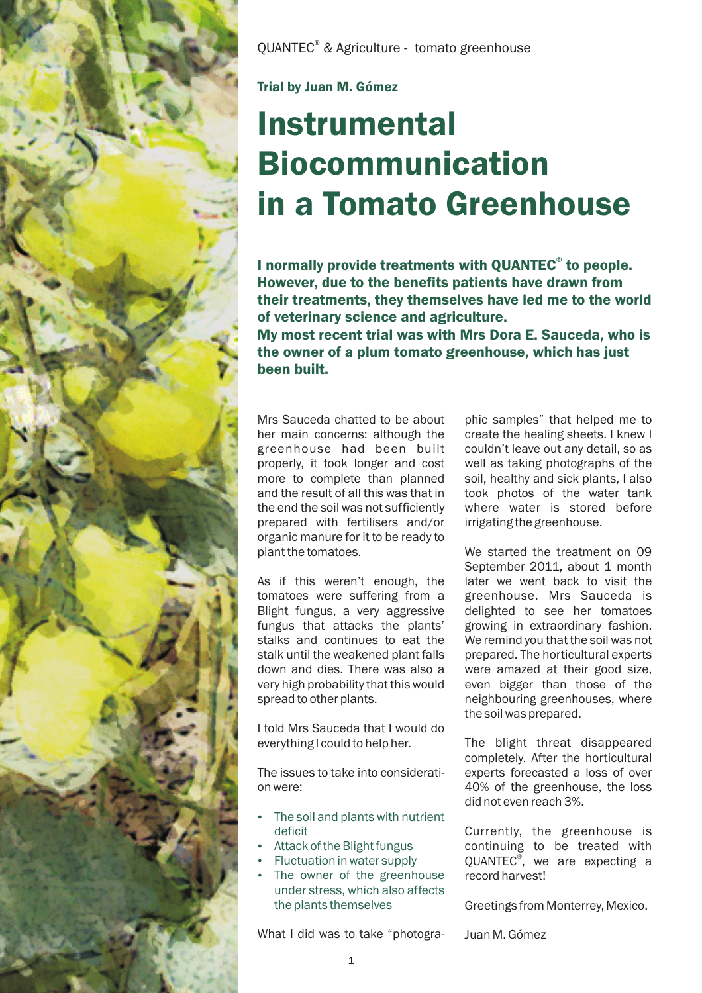

OUANTEC<sup>®</sup> & Agriculture - tomato greenhouse

Trial by Juan M. Gómez

## Instrumental Biocommunication in a Tomato Greenhouse

I normally provide treatments with QUANTEC<sup>®</sup> to people. However, due to the benefits patients have drawn from their treatments, they themselves have led me to the world of veterinary science and agriculture.

My most recent trial was with Mrs Dora E. Sauceda, who is the owner of a plum tomato greenhouse, which has just been built.

Mrs Sauceda chatted to be about her main concerns: although the greenhouse had been built properly, it took longer and cost more to complete than planned and the result of all this was that in the end the soil was not sufficiently prepared with fertilisers and/or organic manure for it to be ready to plant the tomatoes.

As if this weren't enough, the tomatoes were suffering from a Blight fungus, a very aggressive fungus that attacks the plants' stalks and continues to eat the stalk until the weakened plant falls down and dies. There was also a very high probability that this would spread to other plants.

I told Mrs Sauceda that I would do everything I could to help her.

The issues to take into consideration were:

- The soil and plants with nutrient deficit
- -Attack of the Blight fungus
- -Fluctuation in water supply
- The owner of the greenhouse under stress, which also affects the plants themselves

What I did was to take "photogra-

phic samples" that helped me to create the healing sheets. I knew I couldn't leave out any detail, so as well as taking photographs of the soil, healthy and sick plants, I also took photos of the water tank where water is stored before irrigating the greenhouse.

We started the treatment on 09 September 2011, about 1 month later we went back to visit the greenhouse. Mrs Sauceda is delighted to see her tomatoes growing in extraordinary fashion. We remind you that the soil was not prepared. The horticultural experts were amazed at their good size, even bigger than those of the neighbouring greenhouses, where the soil was prepared.

The blight threat disappeared completely. After the horticultural experts forecasted a loss of over 40% of the greenhouse, the loss did not even reach 3%.

Currently, the greenhouse is continuing to be treated with QUANTEC<sup>®</sup>, we are expecting a record harvest!

Greetings from Monterrey, Mexico.

Juan M. Gómez